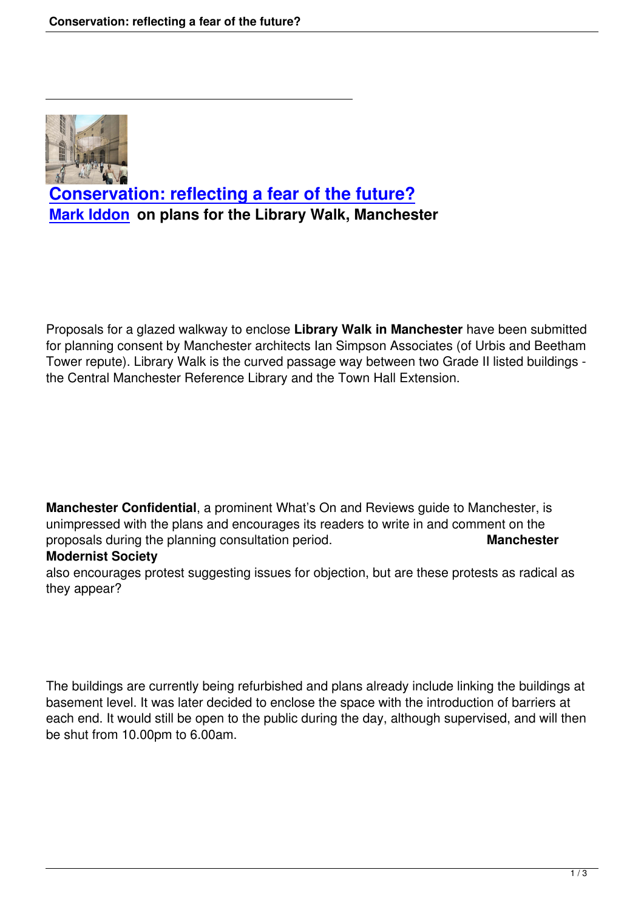

## **Conservation: reflecting a fear of the future? Mark Iddon on plans for the Library Walk, Manchester**

Proposals for a glazed walkway to enclose **Library Walk in Manchester** have been submitted for planning consent by Manchester architects Ian Simpson Associates (of Urbis and Beetham Tower repute). Library Walk is the curved passage way between two Grade II listed buildings the Central Manchester Reference Library and the Town Hall Extension.

**Manchester Confidential**, a prominent What's On and Reviews guide to Manchester, is unimpressed with the plans and encourages its readers to write in and comment on the proposals during the planning consultation period. **Manchester**

## **Modernist Society**

also encourages protest suggesting issues for objection, but are these protests as radical as they appear?

The buildings are currently being refurbished and plans already include linking the buildings at basement level. It was later decided to enclose the space with the introduction of barriers at each end. It would still be open to the public during the day, although supervised, and will then be shut from 10.00pm to 6.00am.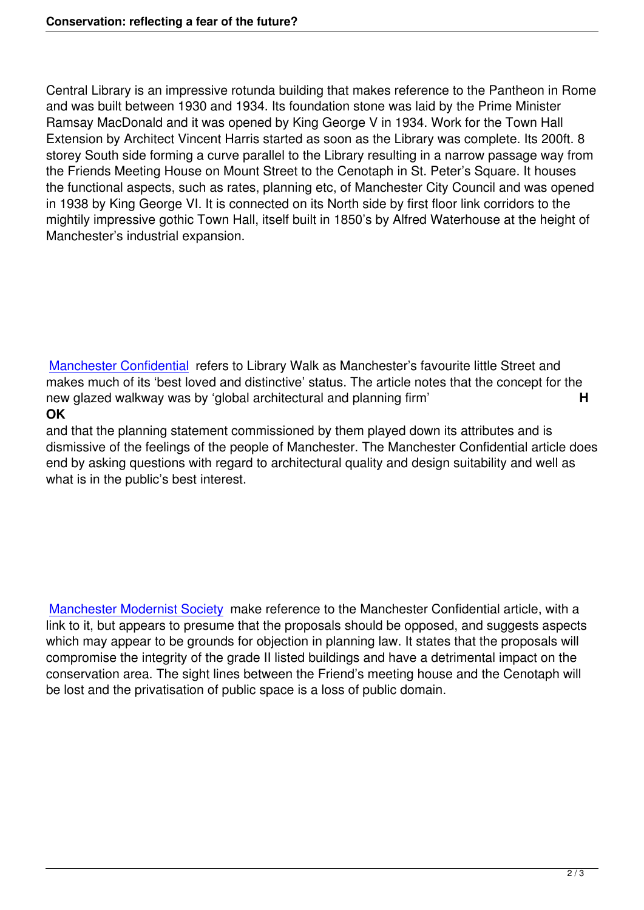Central Library is an impressive rotunda building that makes reference to the Pantheon in Rome and was built between 1930 and 1934. Its foundation stone was laid by the Prime Minister Ramsay MacDonald and it was opened by King George V in 1934. Work for the Town Hall Extension by Architect Vincent Harris started as soon as the Library was complete. Its 200ft. 8 storey South side forming a curve parallel to the Library resulting in a narrow passage way from the Friends Meeting House on Mount Street to the Cenotaph in St. Peter's Square. It houses the functional aspects, such as rates, planning etc, of Manchester City Council and was opened in 1938 by King George VI. It is connected on its North side by first floor link corridors to the mightily impressive gothic Town Hall, itself built in 1850's by Alfred Waterhouse at the height of Manchester's industrial expansion.

Manchester Confidential refers to Library Walk as Manchester's favourite little Street and makes much of its 'best loved and distinctive' status. The article notes that the concept for the new glazed walkway was by 'global architectural and planning firm' **H [OK](http://www.manchesterconfidential.co.uk/Property/Library-Walk-To-Be-Gated)**

and that the planning statement commissioned by them played down its attributes and is dismissive of the feelings of the people of Manchester. The Manchester Confidential article does end by asking questions with regard to architectural quality and design suitability and well as what is in the public's best interest.

Manchester Modernist Society make reference to the Manchester Confidential article, with a link to it, but appears to presume that the proposals should be opposed, and suggests aspects which may appear to be grounds for objection in planning law. It states that the proposals will [compromise the integrity of the](http://manchestermodernists.wordpress.com/2012/06/04/do-you-object-to-the-proposals-for-a-glazed-link-between-manchester-town-hall-extension-and-central-library/) grade II listed buildings and have a detrimental impact on the conservation area. The sight lines between the Friend's meeting house and the Cenotaph will be lost and the privatisation of public space is a loss of public domain.